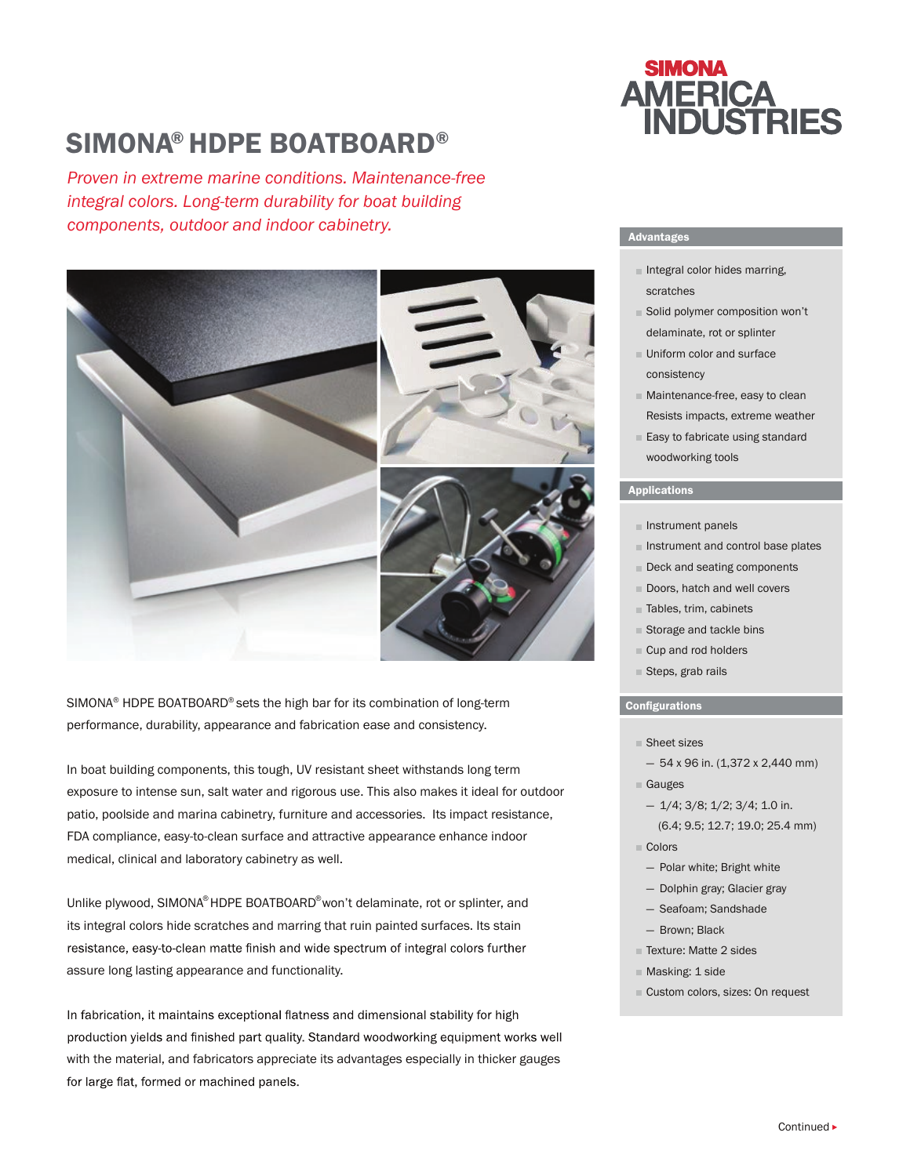## SIMONA® HDPE BOATBOARD®

*Proven in extreme marine conditions. Maintenance-free integral colors. Long-term durability for boat building components, outdoor and indoor cabinetry.* 



SIMONA® HDPE BOATBOARD® sets the high bar for its combination of long-term performance, durability, appearance and fabrication ease and consistency.

In boat building components, this tough, UV resistant sheet withstands long term exposure to intense sun, salt water and rigorous use. This also makes it ideal for outdoor patio, poolside and marina cabinetry, furniture and accessories. Its impact resistance, FDA compliance, easy-to-clean surface and attractive appearance enhance indoor medical, clinical and laboratory cabinetry as well.

Unlike plywood, SIMONA® HDPE BOATBOARD®won't delaminate, rot or splinter, and its integral colors hide scratches and marring that ruin painted surfaces. Its stain resistance, easy-to-clean matte finish and wide spectrum of integral colors further assure long lasting appearance and functionality.

In fabrication, it maintains exceptional flatness and dimensional stability for high production yields and finished part quality. Standard woodworking equipment works well with the material, and fabricators appreciate its advantages especially in thicker gauges for large flat, formed or machined panels.

# **SIMONA AMERICA<br>INDUSTRIES**

#### Advantages

- $\blacksquare$  Integral color hides marring, scratches
- Solid polymer composition won't delaminate, rot or splinter
- **Uniform color and surface** consistency
- **Maintenance-free, easy to clean** Resists impacts, extreme weather
- **Easy to fabricate using standard** woodworking tools

#### Applications

- $\blacksquare$  Instrument panels
- $\blacksquare$  Instrument and control base plates
- Deck and seating components
- Doors, hatch and well covers
- Tables, trim, cabinets
- Storage and tackle bins
- Cup and rod holders
- Steps, grab rails

#### **Configurations**

- Sheet sizes
	- $-54$  x 96 in. (1,372 x 2,440 mm)
- Gauges
- 1/4; 3/8; 1/2; 3/4; 1.0 in. (6.4; 9.5; 12.7; 19.0; 25.4 mm)
- Colors
	- Polar white; Bright white
- Dolphin gray; Glacier gray
- Seafoam; Sandshade
- Brown; Black
- Texture: Matte 2 sides
- **Masking: 1 side**
- Custom colors, sizes: On request